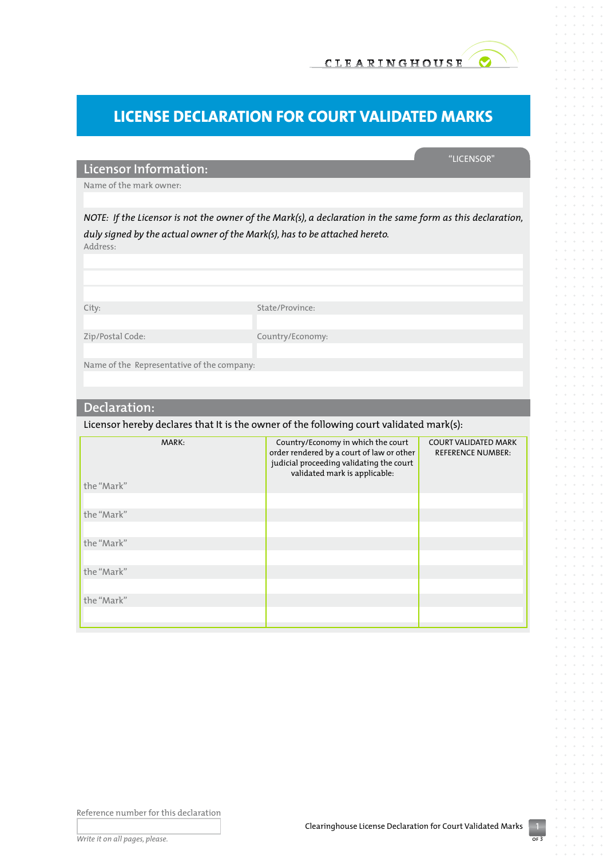

"Licensor"

# **License Declaration for Court Validated Marks**

## **Licensor Information:**

Name of the mark owner:

*NOTE: If the Licensor is not the owner of the Mark(s), a declaration in the same form as this declaration, duly signed by the actual owner of the Mark(s), has to be attached hereto.*  Address:

City: State/Province: Zip/Postal Code: Country/Economy: Name of the Representative of the company:

#### **Declaration:**

Licensor hereby declares that It is the owner of the following court validated mark(s):

| MARK:<br>the "Mark" | Country/Economy in which the court<br>order rendered by a court of law or other<br>judicial proceeding validating the court<br>validated mark is applicable: | <b>COURT VALIDATED MARK</b><br><b>REFERENCE NUMBER:</b> |
|---------------------|--------------------------------------------------------------------------------------------------------------------------------------------------------------|---------------------------------------------------------|
|                     |                                                                                                                                                              |                                                         |
| the "Mark"          |                                                                                                                                                              |                                                         |
|                     |                                                                                                                                                              |                                                         |
| the "Mark"          |                                                                                                                                                              |                                                         |
|                     |                                                                                                                                                              |                                                         |
| the "Mark"          |                                                                                                                                                              |                                                         |
|                     |                                                                                                                                                              |                                                         |
| the "Mark"          |                                                                                                                                                              |                                                         |
|                     |                                                                                                                                                              |                                                         |

Reference number for this declaration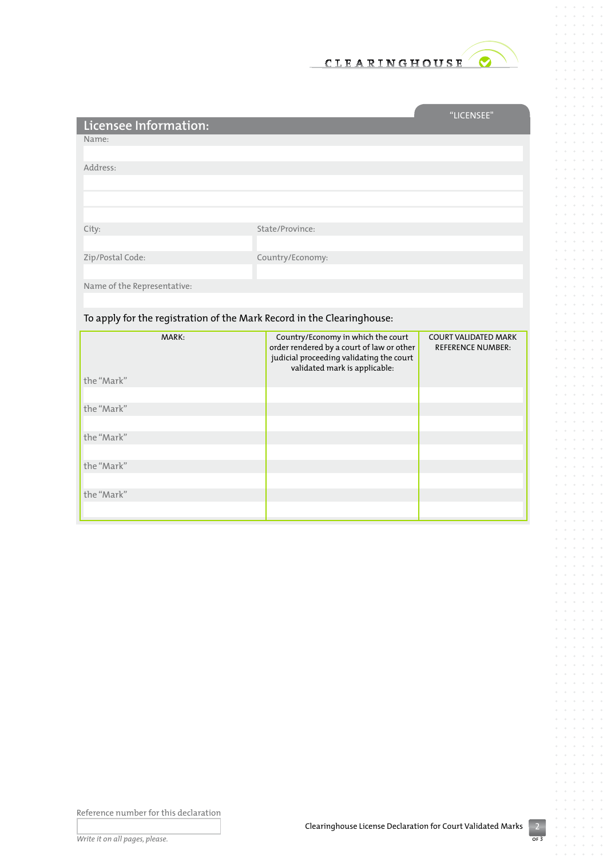

|                             |                  | "LICENSEE" |
|-----------------------------|------------------|------------|
| Licensee Information:       |                  |            |
| Name:                       |                  |            |
|                             |                  |            |
| Address:                    |                  |            |
|                             |                  |            |
|                             |                  |            |
|                             |                  |            |
| City:                       | State/Province:  |            |
|                             |                  |            |
| Zip/Postal Code:            | Country/Economy: |            |
|                             |                  |            |
| Name of the Representative: |                  |            |
|                             |                  |            |

## To apply for the registration of the Mark Record in the Clearinghouse:

| MARK:      | Country/Economy in which the court<br>order rendered by a court of law or other<br>judicial proceeding validating the court<br>validated mark is applicable: | <b>COURT VALIDATED MARK</b><br><b>REFERENCE NUMBER:</b> |
|------------|--------------------------------------------------------------------------------------------------------------------------------------------------------------|---------------------------------------------------------|
| the "Mark" |                                                                                                                                                              |                                                         |
| the "Mark" |                                                                                                                                                              |                                                         |
| the "Mark" |                                                                                                                                                              |                                                         |
| the "Mark" |                                                                                                                                                              |                                                         |
| the "Mark" |                                                                                                                                                              |                                                         |
|            |                                                                                                                                                              |                                                         |

Reference number for this declaration

 $rac{2}{\sigma}$